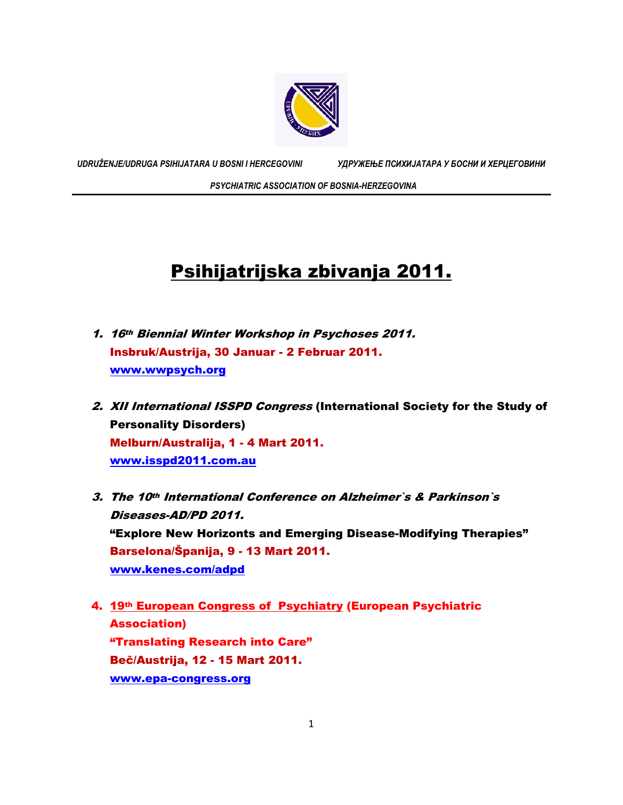

*UDRUŽENJE/UDRUGA PSIHIJATARA U BOSNI I HERCEGOVINI УДРУЖЕЊЕ ПСИХИЈАТАРА У БОСНИ И ХЕРЦЕГОВИНИ*

 *PSYCHIATRIC ASSOCIATION OF BOSNIA-HERZEGOVINA* 

## Psihijatrijska zbivanja 2011.

- 1. 16th Biennial Winter Workshop in Psychoses 2011. Insbruk/Austrija, 30 Januar - 2 Februar 2011. www.wwpsych.org
- 2. XII International ISSPD Congress (International Society for the Study of Personality Disorders) Melburn/Australija, 1 - 4 Mart 2011. www.isspd2011.com.au
- 3. The 10th International Conference on Alzheimer`s & Parkinson`s Diseases-AD/PD 2011. "Explore New Horizonts and Emerging Disease-Modifying Therapies" Barselona/Španija, 9 - 13 Mart 2011. www.kenes.com/adpd
- 4. 19th European Congress of Psychiatry (European Psychiatric Association) "Translating Research into Care" Beč/Austrija, 12 - 15 Mart 2011. www.epa-congress.org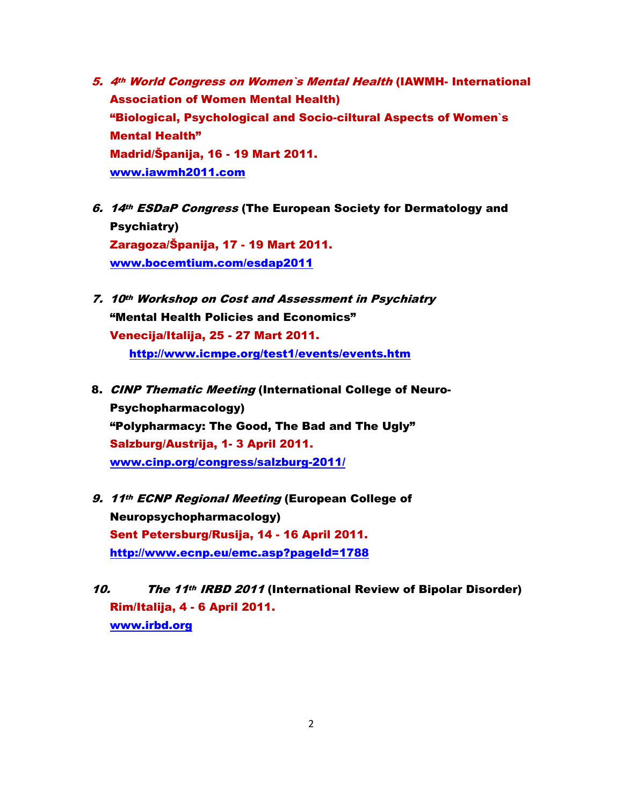- 5. 4th World Congress on Women`s Mental Health (IAWMH- International Association of Women Mental Health) "Biological, Psychological and Socio-ciltural Aspects of Women`s Mental Health" Madrid/Španija, 16 - 19 Mart 2011. www.iawmh2011.com
- 6. 14th ESDaP Congress (The European Society for Dermatology and Psychiatry) Zaragoza/Španija, 17 - 19 Mart 2011. www.bocemtium.com/esdap2011
- 7. 10th Workshop on Cost and Assessment in Psychiatry "Mental Health Policies and Economics" Venecija/Italija, 25 - 27 Mart 2011. http://www.icmpe.org/test1/events/events.htm
- 8. CINP Thematic Meeting (International College of Neuro-Psychopharmacology) "Polypharmacy: The Good, The Bad and The Ugly" Salzburg/Austrija, 1- 3 April 2011. www.cinp.org/congress/salzburg-2011/
- 9. 11th ECNP Regional Meeting (European College of Neuropsychopharmacology) Sent Petersburg/Rusija, 14 - 16 April 2011. http://www.ecnp.eu/emc.asp?pageId=1788
- 10. The 11<sup>th</sup> IRBD 2011 (International Review of Bipolar Disorder) Rim/Italija, 4 - 6 April 2011. www.irbd.org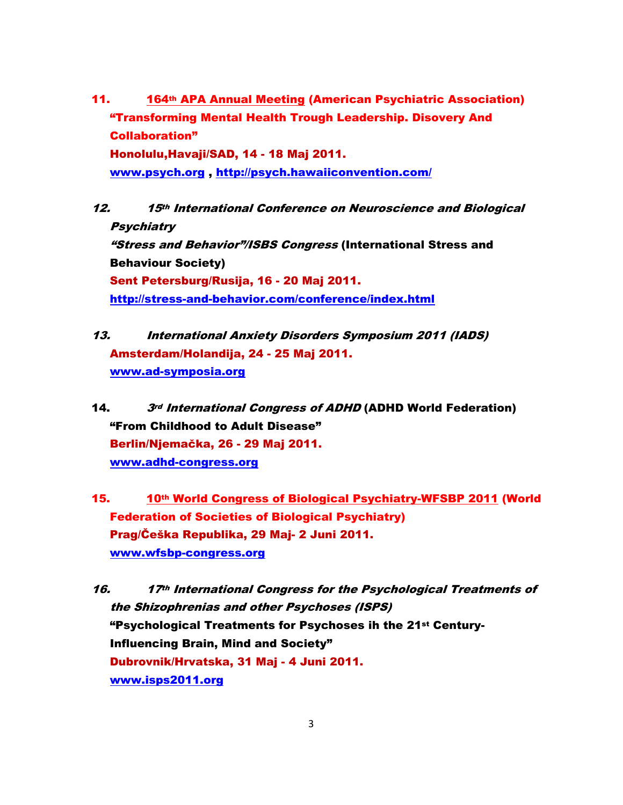- 11. 164<sup>th</sup> APA Annual Meeting (American Psychiatric Association) "Transforming Mental Health Trough Leadership. Disovery And Collaboration" Honolulu,Havaji/SAD, 14 - 18 Maj 2011. www.psych.org , http://psych.hawaiiconvention.com/
- 12. 15th International Conference on Neuroscience and Biological **Psychiatry** "Stress and Behavior"/ISBS Congress (International Stress and Behaviour Society) Sent Petersburg/Rusija, 16 - 20 Maj 2011. http://stress-and-behavior.com/conference/index.html
- 13. International Anxiety Disorders Symposium 2011 (IADS) Amsterdam/Holandija, 24 - 25 Maj 2011. www.ad-symposia.org
- 14. 3rd International Congress of ADHD (ADHD World Federation) "From Childhood to Adult Disease" Berlin/Njemačka, 26 - 29 Maj 2011. www.adhd-congress.org
- 15. 10th World Congress of Biological Psychiatry-WFSBP 2011 (World Federation of Societies of Biological Psychiatry) Prag/Češka Republika, 29 Maj- 2 Juni 2011. www.wfsbp-congress.org
- 16. 17<sup>th</sup> International Congress for the Psychological Treatments of the Shizophrenias and other Psychoses (ISPS) "Psychological Treatments for Psychoses ih the 21st Century-Influencing Brain, Mind and Society" Dubrovnik/Hrvatska, 31 Maj - 4 Juni 2011. www.isps2011.org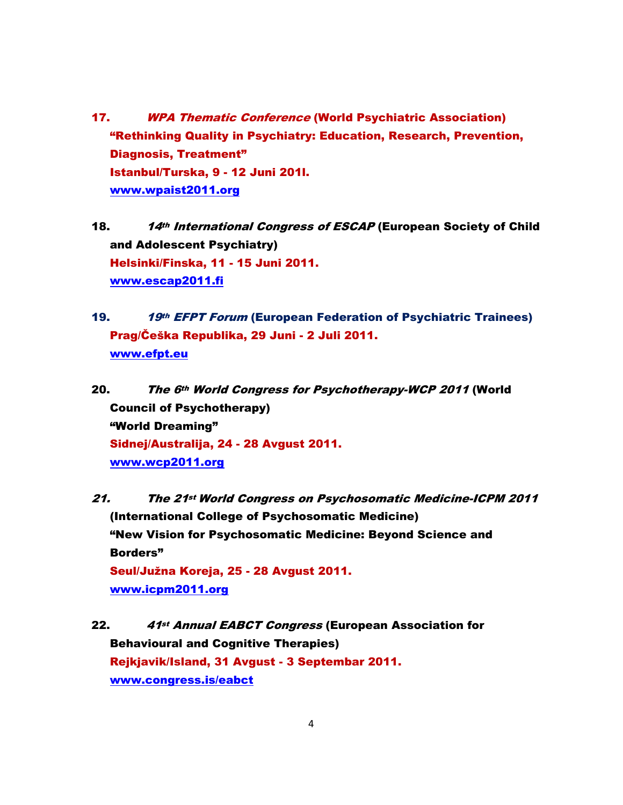- 17. WPA Thematic Conference (World Psychiatric Association) "Rethinking Quality in Psychiatry: Education, Research, Prevention, Diagnosis, Treatment" Istanbul/Turska, 9 - 12 Juni 201l. www.wpaist2011.org
- 18. 14th International Congress of ESCAP (European Society of Child and Adolescent Psychiatry) Helsinki/Finska, 11 - 15 Juni 2011. www.escap2011.fi
- 19. 19th EFPT Forum (European Federation of Psychiatric Trainees) Prag/Češka Republika, 29 Juni - 2 Juli 2011. www.efpt.eu
- 20. The 6<sup>th</sup> World Congress for Psychotherapy-WCP 2011 (World Council of Psychotherapy) "World Dreaming" Sidnej/Australija, 24 - 28 Avgust 2011. www.wcp2011.org
- 21. The 21st World Congress on Psychosomatic Medicine-ICPM 2011 (International College of Psychosomatic Medicine) "New Vision for Psychosomatic Medicine: Beyond Science and Borders" Seul/Južna Koreja, 25 - 28 Avgust 2011. www.icpm2011.org
- 22. 41st Annual EABCT Congress (European Association for Behavioural and Cognitive Therapies) Rejkjavik/Island, 31 Avgust - 3 Septembar 2011. www.congress.is/eabct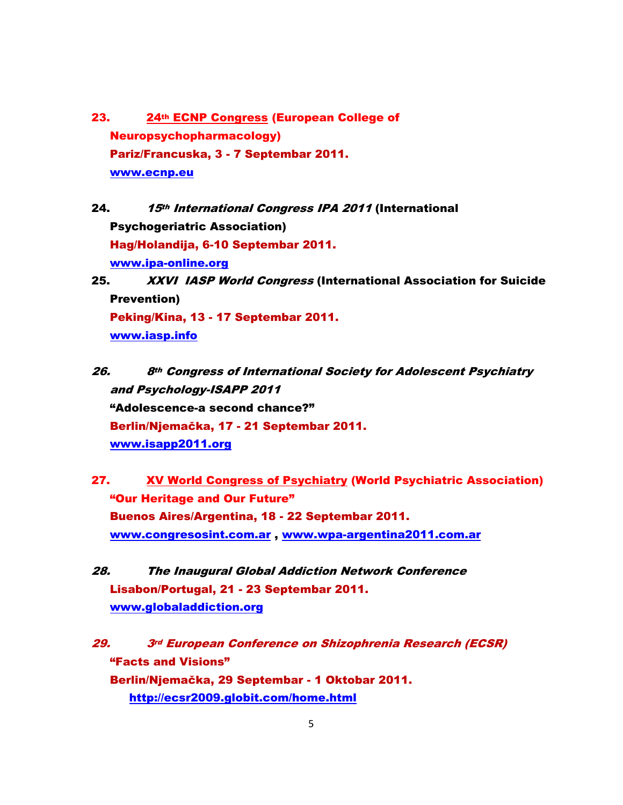- 23. 24th ECNP Congress (European College of Neuropsychopharmacology) Pariz/Francuska, 3 - 7 Septembar 2011. www.ecnp.eu
- 24. 15th International Congress IPA 2011 (International Psychogeriatric Association) Hag/Holandija, 6-10 Septembar 2011. www.ipa-online.org
- 25. XXVI IASP World Congress (International Association for Suicide Prevention) Peking/Kina, 13 - 17 Septembar 2011. www.iasp.info
- 26. 8th Congress of International Society for Adolescent Psychiatry and Psychology-ISAPP 2011 "Adolescence-a second chance?" Berlin/Njemačka, 17 - 21 Septembar 2011. www.isapp2011.org
- 27. XV World Congress of Psychiatry (World Psychiatric Association) "Our Heritage and Our Future" Buenos Aires/Argentina, 18 - 22 Septembar 2011. www.congresosint.com.ar , www.wpa-argentina2011.com.ar
- 28. The Inaugural Global Addiction Network Conference Lisabon/Portugal, 21 - 23 Septembar 2011. www.globaladdiction.org

29. 3rd European Conference on Shizophrenia Research (ECSR) "Facts and Visions" Berlin/Njemačka, 29 Septembar - 1 Oktobar 2011. http://ecsr2009.globit.com/home.html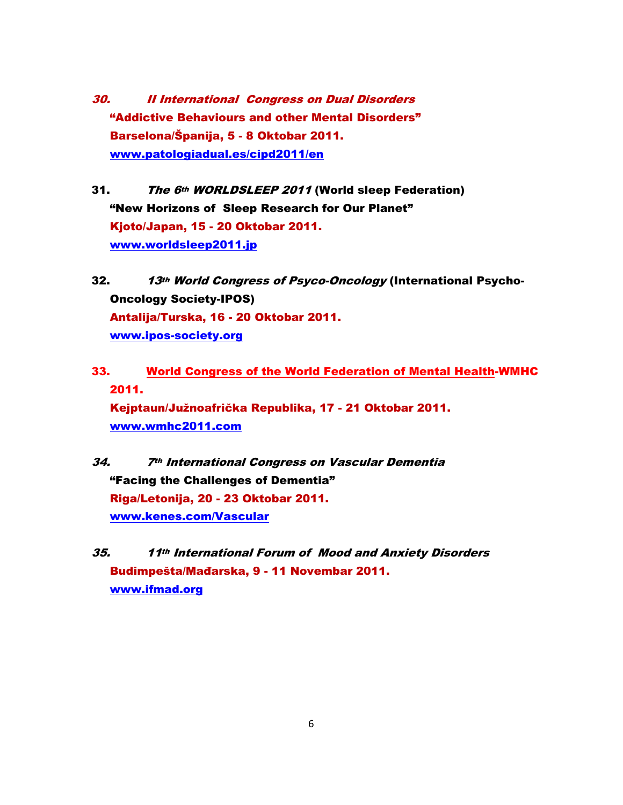- 30. II International Congress on Dual Disorders "Addictive Behaviours and other Mental Disorders" Barselona/Španija, 5 - 8 Oktobar 2011. www.patologiadual.es/cipd2011/en
- 31. The 6th WORLDSLEEP 2011 (World sleep Federation) "New Horizons of Sleep Research for Our Planet" Kjoto/Japan, 15 - 20 Oktobar 2011. www.worldsleep2011.jp
- 32. 13th World Congress of Psyco-Oncology (International Psycho-Oncology Society-IPOS) Antalija/Turska, 16 - 20 Oktobar 2011. www.ipos-society.org
- 33. World Congress of the World Federation of Mental Health-WMHC 2011. Kejptaun/Južnoafrička Republika, 17 - 21 Oktobar 2011. www.wmhc2011.com
- 34. 7th International Congress on Vascular Dementia "Facing the Challenges of Dementia" Riga/Letonija, 20 - 23 Oktobar 2011. www.kenes.com/Vascular
- 35. 11th International Forum of Mood and Anxiety Disorders Budimpešta/Mađarska, 9 - 11 Novembar 2011. www.ifmad.org